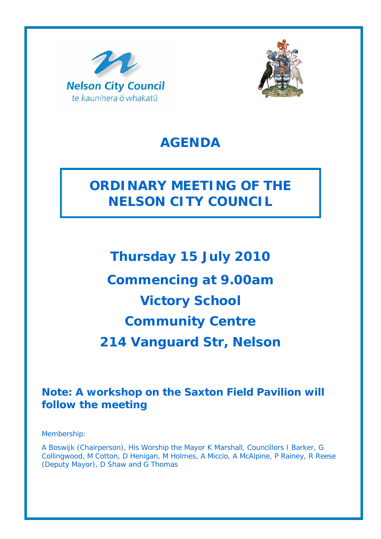



# **AGENDA**

# **ORDINARY MEETING OF THE NELSON CITY COUNCIL**

**Thursday 15 July 2010 Commencing at 9.00am Victory School Community Centre 214 Vanguard Str, Nelson** 

### **Note: A workshop on the Saxton Field Pavilion will follow the meeting**

Membership:

A Boswijk (Chairperson), His Worship the Mayor K Marshall, Councillors I Barker, G Collingwood, M Cotton, D Henigan, M Holmes, A Miccio, A McAlpine, P Rainey, R Reese (Deputy Mayor), D Shaw and G Thomas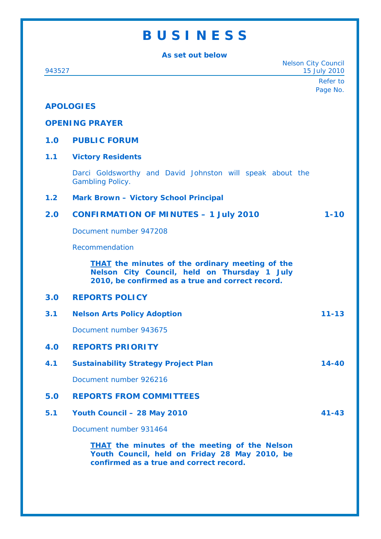## **B U S I N E S S**

**As set out below** 

Nelson City Council 943527 15 July 2010 Refer to Page No. **APOLOGIES OPENING PRAYER 1.0 PUBLIC FORUM 1.1 Victory Residents**  Darci Goldsworthy and David Johnston will speak about the Gambling Policy. **1.2 Mark Brown – Victory School Principal 2.0 CONFIRMATION OF MINUTES – 1 July 2010 1-10**  Document number 947208 Recommendation *THAT the minutes of the ordinary meeting of the Nelson City Council, held on Thursday 1 July 2010, be confirmed as a true and correct record.* **3.0 REPORTS POLICY 3.1 Nelson Arts Policy Adoption 11-13**  Document number 943675 **4.0 REPORTS PRIORITY 4.1 Sustainability Strategy Project Plan 14-40**  Document number 926216 **5.0 REPORTS FROM COMMITTEES 5.1 Youth Council – 28 May 2010 41-43**  Document number 931464 *THAT the minutes of the meeting of the Nelson Youth Council, held on Friday 28 May 2010, be confirmed as a true and correct record.*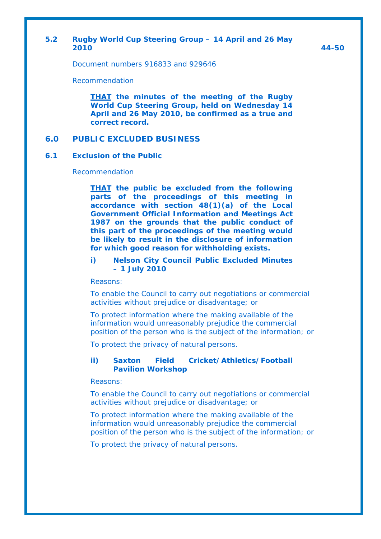#### **5.2 Rugby World Cup Steering Group – 14 April and 26 May 2010 44-50**

Document numbers 916833 and 929646

Recommendation

*THAT the minutes of the meeting of the Rugby World Cup Steering Group, held on Wednesday 14 April and 26 May 2010, be confirmed as a true and correct record.*

#### **6.0 PUBLIC EXCLUDED BUSINESS**

#### **6.1 Exclusion of the Public**

Recommendation

*THAT the public be excluded from the following parts of the proceedings of this meeting in accordance with section 48(1)(a) of the Local Government Official Information and Meetings Act 1987 on the grounds that the public conduct of this part of the proceedings of the meeting would be likely to result in the disclosure of information for which good reason for withholding exists.* 

*i) Nelson City Council Public Excluded Minutes – 1 July 2010* 

*Reasons:* 

*To enable the Council to carry out negotiations or commercial activities without prejudice or disadvantage; or* 

*To protect information where the making available of the information would unreasonably prejudice the commercial position of the person who is the subject of the information; or* 

*To protect the privacy of natural persons.* 

#### *ii) Saxton Field Cricket/Athletics/Football Pavilion Workshop*

*Reasons:* 

*To enable the Council to carry out negotiations or commercial activities without prejudice or disadvantage; or* 

*To protect information where the making available of the information would unreasonably prejudice the commercial position of the person who is the subject of the information; or* 

*To protect the privacy of natural persons.*